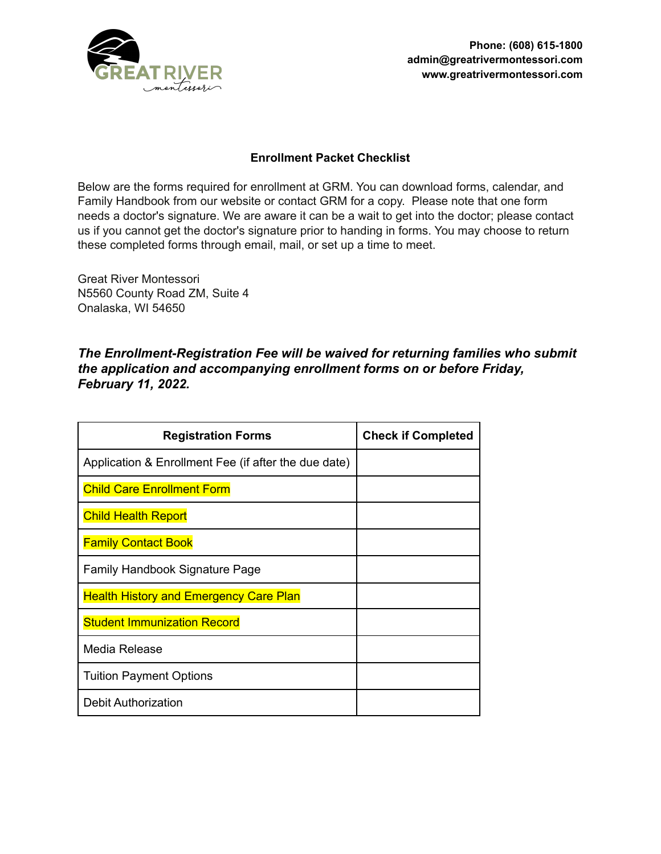

## **Enrollment Packet Checklist**

Below are the forms required for enrollment at GRM. You can download forms, calendar, and Family Handbook from our website or contact GRM for a copy. Please note that one form needs a doctor's signature. We are aware it can be a wait to get into the doctor; please contact us if you cannot get the doctor's signature prior to handing in forms. You may choose to return these completed forms through email, mail, or set up a time to meet.

Great River Montessori N5560 County Road ZM, Suite 4 Onalaska, WI 54650

## *The Enrollment-Registration Fee will be waived for returning families who submit the application and accompanying enrollment forms on or before Friday, February 11, 2022.*

| <b>Registration Forms</b>                            | <b>Check if Completed</b> |
|------------------------------------------------------|---------------------------|
| Application & Enrollment Fee (if after the due date) |                           |
| <b>Child Care Enrollment Form</b>                    |                           |
| <b>Child Health Report</b>                           |                           |
| <b>Family Contact Book</b>                           |                           |
| Family Handbook Signature Page                       |                           |
| <b>Health History and Emergency Care Plan</b>        |                           |
| <b>Student Immunization Record</b>                   |                           |
| Media Release                                        |                           |
| <b>Tuition Payment Options</b>                       |                           |
| <b>Debit Authorization</b>                           |                           |